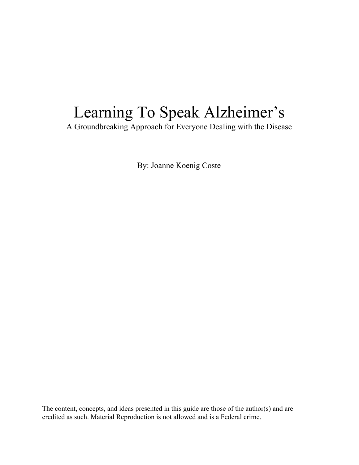# Learning To Speak Alzheimer's

A Groundbreaking Approach for Everyone Dealing with the Disease

By: Joanne Koenig Coste

The content, concepts, and ideas presented in this guide are those of the author(s) and are credited as such. Material Reproduction is not allowed and is a Federal crime.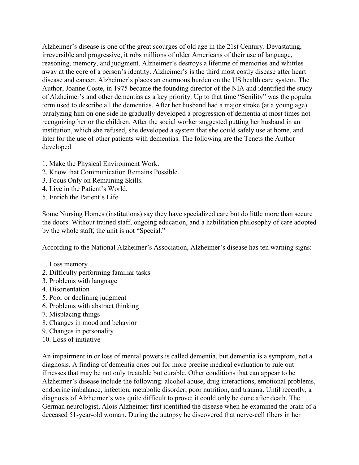Alzheimer's disease is one of the great scourges of old age in the 21st Century. Devastating, irreversible and progressive, it robs millions of older Americans of their use of language, reasoning, memory, and judgment. Alzheimer's destroys a lifetime of memories and whittles away at the core of a person's identity. Alzheimer's is the third most costly disease after heart disease and cancer. Alzheimer's places an enormous burden on the US health care system. The Author, Joanne Coste, in 1975 became the founding director of the NIA and identified the study of Alzheimer's and other dementias as a key priority. Up to that time "Senility" was the popular term used to describe all the dementias. After her husband had a major stroke (at a young age) paralyzing him on one side he gradually developed a progression of dementia at most times not recognizing her or the children. After the social worker suggested putting her husband in an institution, which she refused, she developed a system that she could safely use at home, and later for the use of other patients with dementias. The following are the Tenets the Author developed.

- 1. Make the Physical Environment Work.
- 2. Know that Communication Remains Possible.
- 3. Focus Only on Remaining Skills.
- 4. Live in the Patient's World.
- 5. Enrich the Patient's Life.

Some Nursing Homes (institutions) say they have specialized care but do little more than secure the doors. Without trained staff, ongoing education, and a habilitation philosophy of care adopted by the whole staff, the unit is not "Special."

According to the National Alzheimer's Association, Alzheimer's disease has ten warning signs:

- 1. Loss memory
- 2. Difficulty performing familiar tasks
- 3. Problems with language
- 4. Disorientation
- 5. Poor or declining judgment
- 6. Problems with abstract thinking
- 7. Misplacing things
- 8. Changes in mood and behavior
- 9. Changes in personality
- 10. Loss of initiative

An impairment in or loss of mental powers is called dementia, but dementia is a symptom, not a diagnosis. A finding of dementia cries out for more precise medical evaluation to rule out illnesses that may be not only treatable but curable. Other conditions that can appear to be Alzheimer's disease include the following: alcohol abuse, drug interactions, emotional problems, endocrine imbalance, infection, metabolic disorder, poor nutrition, and trauma. Until recently, a diagnosis of Alzheimer's was quite difficult to prove; it could only be done after death. The German neurologist, Alois Alzheimer first identified the disease when he examined the brain of a deceased 51-year-old woman. During the autopsy he discovered that nerve-cell fibers in her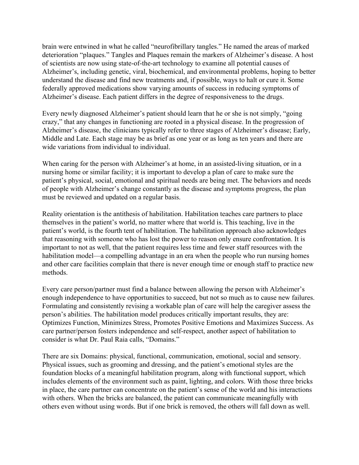brain were entwined in what he called "neurofibrillary tangles." He named the areas of marked deterioration "plaques." Tangles and Plaques remain the markers of Alzheimer's disease. A host of scientists are now using state-of-the-art technology to examine all potential causes of Alzheimer's, including genetic, viral, biochemical, and environmental problems, hoping to better understand the disease and find new treatments and, if possible, ways to halt or cure it. Some federally approved medications show varying amounts of success in reducing symptoms of Alzheimer's disease. Each patient differs in the degree of responsiveness to the drugs.

Every newly diagnosed Alzheimer's patient should learn that he or she is not simply, "going crazy," that any changes in functioning are rooted in a physical disease. In the progression of Alzheimer's disease, the clinicians typically refer to three stages of Alzheimer's disease; Early, Middle and Late. Each stage may be as brief as one year or as long as ten years and there are wide variations from individual to individual.

When caring for the person with Alzheimer's at home, in an assisted-living situation, or in a nursing home or similar facility; it is important to develop a plan of care to make sure the patient's physical, social, emotional and spiritual needs are being met. The behaviors and needs of people with Alzheimer's change constantly as the disease and symptoms progress, the plan must be reviewed and updated on a regular basis.

Reality orientation is the antithesis of habilitation. Habilitation teaches care partners to place themselves in the patient's world, no matter where that world is. This teaching, live in the patient's world, is the fourth tent of habilitation. The habilitation approach also acknowledges that reasoning with someone who has lost the power to reason only ensure confrontation. It is important to not as well, that the patient requires less time and fewer staff resources with the habilitation model—a compelling advantage in an era when the people who run nursing homes and other care facilities complain that there is never enough time or enough staff to practice new methods.

Every care person/partner must find a balance between allowing the person with Alzheimer's enough independence to have opportunities to succeed, but not so much as to cause new failures. Formulating and consistently revising a workable plan of care will help the caregiver assess the person's abilities. The habilitation model produces critically important results, they are: Optimizes Function, Minimizes Stress, Promotes Positive Emotions and Maximizes Success. As care partner/person fosters independence and self-respect, another aspect of habilitation to consider is what Dr. Paul Raia calls, "Domains."

There are six Domains: physical, functional, communication, emotional, social and sensory. Physical issues, such as grooming and dressing, and the patient's emotional styles are the foundation blocks of a meaningful habilitation program, along with functional support, which includes elements of the environment such as paint, lighting, and colors. With those three bricks in place, the care partner can concentrate on the patient's sense of the world and his interactions with others. When the bricks are balanced, the patient can communicate meaningfully with others even without using words. But if one brick is removed, the others will fall down as well.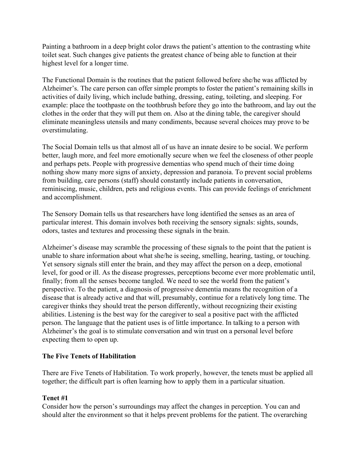Painting a bathroom in a deep bright color draws the patient's attention to the contrasting white toilet seat. Such changes give patients the greatest chance of being able to function at their highest level for a longer time.

The Functional Domain is the routines that the patient followed before she/he was afflicted by Alzheimer's. The care person can offer simple prompts to foster the patient's remaining skills in activities of daily living, which include bathing, dressing, eating, toileting, and sleeping. For example: place the toothpaste on the toothbrush before they go into the bathroom, and lay out the clothes in the order that they will put them on. Also at the dining table, the caregiver should eliminate meaningless utensils and many condiments, because several choices may prove to be overstimulating.

The Social Domain tells us that almost all of us have an innate desire to be social. We perform better, laugh more, and feel more emotionally secure when we feel the closeness of other people and perhaps pets. People with progressive dementias who spend much of their time doing nothing show many more signs of anxiety, depression and paranoia. To prevent social problems from building, care persons (staff) should constantly include patients in conversation, reminiscing, music, children, pets and religious events. This can provide feelings of enrichment and accomplishment.

The Sensory Domain tells us that researchers have long identified the senses as an area of particular interest. This domain involves both receiving the sensory signals: sights, sounds, odors, tastes and textures and processing these signals in the brain.

Alzheimer's disease may scramble the processing of these signals to the point that the patient is unable to share information about what she/he is seeing, smelling, hearing, tasting, or touching. Yet sensory signals still enter the brain, and they may affect the person on a deep, emotional level, for good or ill. As the disease progresses, perceptions become ever more problematic until, finally; from all the senses become tangled. We need to see the world from the patient's perspective. To the patient, a diagnosis of progressive dementia means the recognition of a disease that is already active and that will, presumably, continue for a relatively long time. The caregiver thinks they should treat the person differently, without recognizing their existing abilities. Listening is the best way for the caregiver to seal a positive pact with the afflicted person. The language that the patient uses is of little importance. In talking to a person with Alzheimer's the goal is to stimulate conversation and win trust on a personal level before expecting them to open up.

#### **The Five Tenets of Habilitation**

There are Five Tenets of Habilitation. To work properly, however, the tenets must be applied all together; the difficult part is often learning how to apply them in a particular situation.

#### **Tenet #1**

Consider how the person's surroundings may affect the changes in perception. You can and should alter the environment so that it helps prevent problems for the patient. The overarching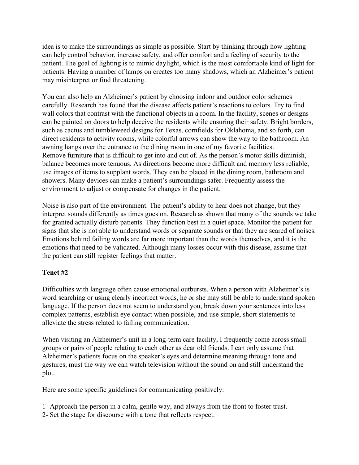idea is to make the surroundings as simple as possible. Start by thinking through how lighting can help control behavior, increase safety, and offer comfort and a feeling of security to the patient. The goal of lighting is to mimic daylight, which is the most comfortable kind of light for patients. Having a number of lamps on creates too many shadows, which an Alzheimer's patient may misinterpret or find threatening.

You can also help an Alzheimer's patient by choosing indoor and outdoor color schemes carefully. Research has found that the disease affects patient's reactions to colors. Try to find wall colors that contrast with the functional objects in a room. In the facility, scenes or designs can be painted on doors to help deceive the residents while ensuring their safety. Bright borders, such as cactus and tumbleweed designs for Texas, cornfields for Oklahoma, and so forth, can direct residents to activity rooms, while colorful arrows can show the way to the bathroom. An awning hangs over the entrance to the dining room in one of my favorite facilities. Remove furniture that is difficult to get into and out of. As the person's motor skills diminish, balance becomes more tenuous. As directions become more difficult and memory less reliable, use images of items to supplant words. They can be placed in the dining room, bathroom and showers. Many devices can make a patient's surroundings safer. Frequently assess the environment to adjust or compensate for changes in the patient.

Noise is also part of the environment. The patient's ability to hear does not change, but they interpret sounds differently as times goes on. Research as shown that many of the sounds we take for granted actually disturb patients. They function best in a quiet space. Monitor the patient for signs that she is not able to understand words or separate sounds or that they are scared of noises. Emotions behind failing words are far more important than the words themselves, and it is the emotions that need to be validated. Although many losses occur with this disease, assume that the patient can still register feelings that matter.

#### **Tenet #2**

Difficulties with language often cause emotional outbursts. When a person with Alzheimer's is word searching or using clearly incorrect words, he or she may still be able to understand spoken language. If the person does not seem to understand you, break down your sentences into less complex patterns, establish eye contact when possible, and use simple, short statements to alleviate the stress related to failing communication.

When visiting an Alzheimer's unit in a long-term care facility, I frequently come across small groups or pairs of people relating to each other as dear old friends. I can only assume that Alzheimer's patients focus on the speaker's eyes and determine meaning through tone and gestures, must the way we can watch television without the sound on and still understand the plot.

Here are some specific guidelines for communicating positively:

- 1- Approach the person in a calm, gentle way, and always from the front to foster trust.
- 2- Set the stage for discourse with a tone that reflects respect.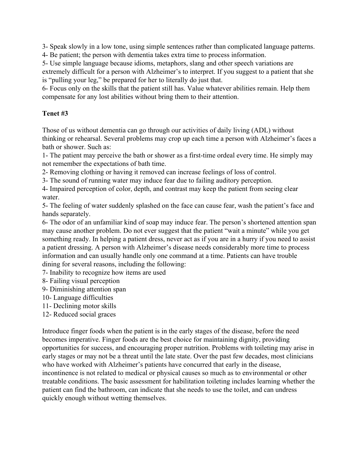3- Speak slowly in a low tone, using simple sentences rather than complicated language patterns.

4- Be patient; the person with dementia takes extra time to process information.

5- Use simple language because idioms, metaphors, slang and other speech variations are extremely difficult for a person with Alzheimer's to interpret. If you suggest to a patient that she is "pulling your leg," be prepared for her to literally do just that.

6- Focus only on the skills that the patient still has. Value whatever abilities remain. Help them compensate for any lost abilities without bring them to their attention.

## **Tenet #3**

Those of us without dementia can go through our activities of daily living (ADL) without thinking or rehearsal. Several problems may crop up each time a person with Alzheimer's faces a bath or shower. Such as:

1- The patient may perceive the bath or shower as a first-time ordeal every time. He simply may not remember the expectations of bath time.

2- Removing clothing or having it removed can increase feelings of loss of control.

3- The sound of running water may induce fear due to failing auditory perception.

4- Impaired perception of color, depth, and contrast may keep the patient from seeing clear water.

5- The feeling of water suddenly splashed on the face can cause fear, wash the patient's face and hands separately.

6- The odor of an unfamiliar kind of soap may induce fear. The person's shortened attention span may cause another problem. Do not ever suggest that the patient "wait a minute" while you get something ready. In helping a patient dress, never act as if you are in a hurry if you need to assist a patient dressing. A person with Alzheimer's disease needs considerably more time to process information and can usually handle only one command at a time. Patients can have trouble dining for several reasons, including the following:

7- Inability to recognize how items are used

8- Failing visual perception

- 9- Diminishing attention span
- 10- Language difficulties
- 11- Declining motor skills
- 12- Reduced social graces

Introduce finger foods when the patient is in the early stages of the disease, before the need becomes imperative. Finger foods are the best choice for maintaining dignity, providing opportunities for success, and encouraging proper nutrition. Problems with toileting may arise in early stages or may not be a threat until the late state. Over the past few decades, most clinicians who have worked with Alzheimer's patients have concurred that early in the disease, incontinence is not related to medical or physical causes so much as to environmental or other treatable conditions. The basic assessment for habilitation toileting includes learning whether the patient can find the bathroom, can indicate that she needs to use the toilet, and can undress quickly enough without wetting themselves.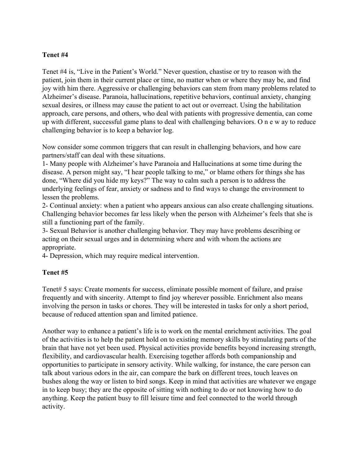### **Tenet #4**

Tenet #4 is, "Live in the Patient's World." Never question, chastise or try to reason with the patient, join them in their current place or time, no matter when or where they may be, and find joy with him there. Aggressive or challenging behaviors can stem from many problems related to Alzheimer's disease. Paranoia, hallucinations, repetitive behaviors, continual anxiety, changing sexual desires, or illness may cause the patient to act out or overreact. Using the habilitation approach, care persons, and others, who deal with patients with progressive dementia, can come up with different, successful game plans to deal with challenging behaviors. O n e w ay to reduce challenging behavior is to keep a behavior log.

Now consider some common triggers that can result in challenging behaviors, and how care partners/staff can deal with these situations.

1- Many people with Alzheimer's have Paranoia and Hallucinations at some time during the disease. A person might say, "I hear people talking to me," or blame others for things she has done, "Where did you hide my keys?" The way to calm such a person is to address the underlying feelings of fear, anxiety or sadness and to find ways to change the environment to lessen the problems.

2- Continual anxiety: when a patient who appears anxious can also create challenging situations. Challenging behavior becomes far less likely when the person with Alzheimer's feels that she is still a functioning part of the family.

3- Sexual Behavior is another challenging behavior. They may have problems describing or acting on their sexual urges and in determining where and with whom the actions are appropriate.

4- Depression, which may require medical intervention.

#### **Tenet #5**

Tenet# 5 says: Create moments for success, eliminate possible moment of failure, and praise frequently and with sincerity. Attempt to find joy wherever possible. Enrichment also means involving the person in tasks or chores. They will be interested in tasks for only a short period, because of reduced attention span and limited patience.

Another way to enhance a patient's life is to work on the mental enrichment activities. The goal of the activities is to help the patient hold on to existing memory skills by stimulating parts of the brain that have not yet been used. Physical activities provide benefits beyond increasing strength, flexibility, and cardiovascular health. Exercising together affords both companionship and opportunities to participate in sensory activity. While walking, for instance, the care person can talk about various odors in the air, can compare the bark on different trees, touch leaves on bushes along the way or listen to bird songs. Keep in mind that activities are whatever we engage in to keep busy; they are the opposite of sitting with nothing to do or not knowing how to do anything. Keep the patient busy to fill leisure time and feel connected to the world through activity.